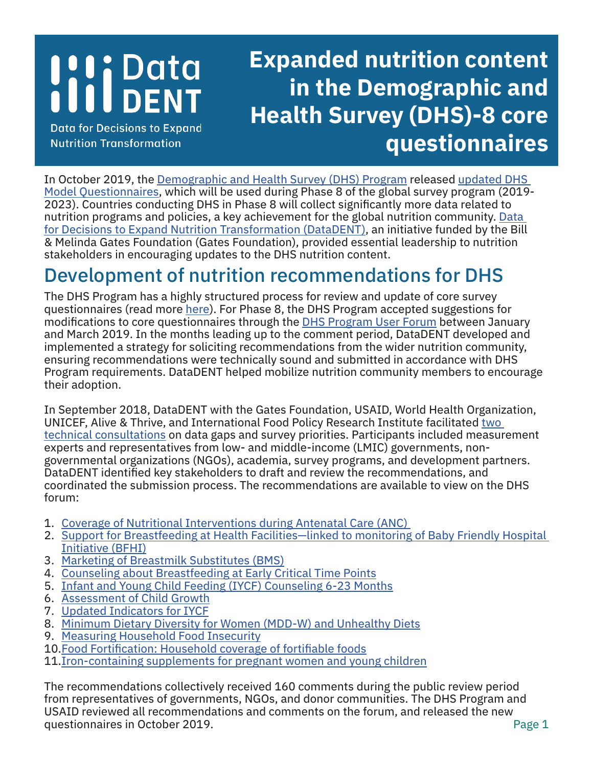# **I'li Data**

**Data for Decisions to Expand Nutrition Transformation** 

## **Expanded nutrition content in the Demographic and Health Survey (DHS)-8 core questionnaires**

In October 2019, the [Demographic and Health Survey \(DHS\) Program](https://dhsprogram.com/) released [updated DHS](https://dhsprogram.com/publications/publication-DHSQ8-DHS-Questionnaires-and-Manuals.cfm)  [Model Questionnaires](https://dhsprogram.com/publications/publication-DHSQ8-DHS-Questionnaires-and-Manuals.cfm), which will be used during Phase 8 of the global survey program (2019- 2023). Countries conducting DHS in Phase 8 will collect significantly more data related to nutrition programs and policies, a key achievement for the global nutrition community. [Data](https://datadent.org/)  [for Decisions to Expand Nutrition Transformation \(DataDENT\)](https://datadent.org/), an initiative funded by the Bill & Melinda Gates Foundation (Gates Foundation), provided essential leadership to nutrition stakeholders in encouraging updates to the DHS nutrition content.

### Development of nutrition recommendations for DHS

The DHS Program has a highly structured process for review and update of core survey questionnaires (read more [here](https://www.dhsprogram.com/pubs/pdf/DHSM11/DHSM11.pdf)). For Phase 8, the DHS Program accepted suggestions for modifications to core questionnaires through the [DHS Program User Forum](https://userforum.dhsprogram.com/index.php) between January and March 2019. In the months leading up to the comment period, DataDENT developed and implemented a strategy for soliciting recommendations from the wider nutrition community, ensuring recommendations were technically sound and submitted in accordance with DHS Program requirements. DataDENT helped mobilize nutrition community members to encourage their adoption.

In September 2018, DataDENT with the Gates Foundation, USAID, World Health Organization, UNICEF, Alive & Thrive, and International Food Policy Research Institute facilitated [two](https://datadent.org/2018/10/19/advancenutritionmeasurement/)  [technical consultations](https://datadent.org/2018/10/19/advancenutritionmeasurement/) on data gaps and survey priorities. Participants included measurement experts and representatives from low- and middle-income (LMIC) governments, nongovernmental organizations (NGOs), academia, survey programs, and development partners. DataDENT identified key stakeholders to draft and review the recommendations, and coordinated the submission process. The recommendations are available to view on the DHS forum:

- 1. [Coverage of Nutritional Interventions during Antenatal Care \(ANC\)](https://userforum.dhsprogram.com/index.php?t=tree&goto=16770&#msg_16770)
- 2. [Support for Breastfeeding at Health Facilities—linked to monitoring of Baby Friendly Hospital](https://userforum.dhsprogram.com/index.php?t=tree&goto=16771&#msg_16771)  [Initiative \(BFHI\)](https://userforum.dhsprogram.com/index.php?t=tree&goto=16771&#msg_16771)
- 3. [Marketing of Breastmilk Substitutes \(BMS\)](https://userforum.dhsprogram.com/index.php?t=tree&goto=16772&#msg_16772)
- 4. [Counseling about Breastfeeding at Early Critical Time Points](https://userforum.dhsprogram.com/index.php?t=tree&goto=16773&#msg_16773)
- 5. [Infant and Young Child Feeding \(IYCF\) Counseling 6-23 Months](https://userforum.dhsprogram.com/index.php?t=tree&goto=16774&#msg_16774)
- 6. [Assessment of Child Growth](https://userforum.dhsprogram.com/index.php?t=tree&goto=16775&#msg_16775)
- 7. [Updated Indicators for IYCF](https://userforum.dhsprogram.com/index.php?t=tree&goto=16777&#msg_16777)
- 8. [Minimum Dietary Diversity for Women \(MDD-W\) and Unhealthy Diets](https://userforum.dhsprogram.com/index.php?t=tree&goto=16778&#msg_16778)
- 9. [Measuring Household Food Insecurity](https://userforum.dhsprogram.com/index.php?t=tree&goto=16779&#msg_16779)
- 10.[Food Fortification: Household coverage of fortifiable foods](https://userforum.dhsprogram.com/index.php?t=tree&goto=16780&#msg_16780)
- 11.[Iron-containing supplements for pregnant women and young children](https://userforum.dhsprogram.com/index.php?t=msg&th=8030&start=0&)

The recommendations collectively received 160 comments during the public review period from representatives of governments, NGOs, and donor communities. The DHS Program and USAID reviewed all recommendations and comments on the forum, and released the new questionnaires in October 2019.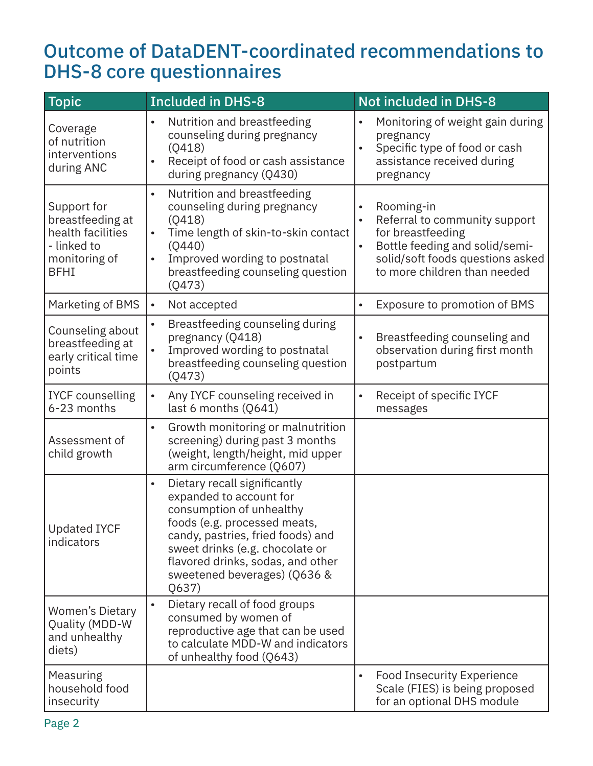#### Outcome of DataDENT-coordinated recommendations to DHS-8 core questionnaires

| <b>Topic</b>                                                                                        | <b>Included in DHS-8</b>                                                                                                                                                                                                                                                               | <b>Not included in DHS-8</b>                                                                                                                                           |
|-----------------------------------------------------------------------------------------------------|----------------------------------------------------------------------------------------------------------------------------------------------------------------------------------------------------------------------------------------------------------------------------------------|------------------------------------------------------------------------------------------------------------------------------------------------------------------------|
| Coverage<br>of nutrition<br>interventions<br>during ANC                                             | Nutrition and breastfeeding<br>$\bullet$<br>counseling during pregnancy<br>(0418)<br>Receipt of food or cash assistance<br>during pregnancy (Q430)                                                                                                                                     | Monitoring of weight gain during<br>pregnancy<br>Specific type of food or cash<br>assistance received during<br>pregnancy                                              |
| Support for<br>breastfeeding at<br>health facilities<br>- linked to<br>monitoring of<br><b>BFHI</b> | Nutrition and breastfeeding<br>$\bullet$<br>counseling during pregnancy<br>(0418)<br>Time length of skin-to-skin contact<br>$\bullet$<br>(0440)<br>Improved wording to postnatal<br>breastfeeding counseling question<br>(0473)                                                        | Rooming-in<br>Referral to community support<br>for breastfeeding<br>Bottle feeding and solid/semi-<br>solid/soft foods questions asked<br>to more children than needed |
| Marketing of BMS                                                                                    | Not accepted<br>$\bullet$                                                                                                                                                                                                                                                              | Exposure to promotion of BMS                                                                                                                                           |
| Counseling about<br>breastfeeding at<br>early critical time<br>points                               | Breastfeeding counseling during<br>$\bullet$<br>pregnancy (Q418)<br>Improved wording to postnatal<br>breastfeeding counseling question<br>(0473)                                                                                                                                       | Breastfeeding counseling and<br>$\bullet$<br>observation during first month<br>postpartum                                                                              |
| <b>IYCF counselling</b><br>6-23 months                                                              | Any IYCF counseling received in<br>$\bullet$<br>last 6 months (Q641)                                                                                                                                                                                                                   | Receipt of specific IYCF<br>$\bullet$<br>messages                                                                                                                      |
| Assessment of<br>child growth                                                                       | Growth monitoring or malnutrition<br>$\bullet$<br>screening) during past 3 months<br>(weight, length/height, mid upper<br>arm circumference (Q607)                                                                                                                                     |                                                                                                                                                                        |
| <b>Updated IYCF</b><br>indicators                                                                   | Dietary recall significantly<br>$\bullet$<br>expanded to account for<br>consumption of unhealthy<br>foods (e.g. processed meats,<br>candy, pastries, fried foods) and<br>sweet drinks (e.g. chocolate or<br>flavored drinks, sodas, and other<br>sweetened beverages) (Q636 &<br>Q637) |                                                                                                                                                                        |
| <b>Women's Dietary</b><br>Quality (MDD-W<br>and unhealthy<br>diets)                                 | Dietary recall of food groups<br>$\bullet$<br>consumed by women of<br>reproductive age that can be used<br>to calculate MDD-W and indicators<br>of unhealthy food (Q643)                                                                                                               |                                                                                                                                                                        |
| Measuring<br>household food<br>insecurity                                                           |                                                                                                                                                                                                                                                                                        | <b>Food Insecurity Experience</b><br>Scale (FIES) is being proposed<br>for an optional DHS module                                                                      |